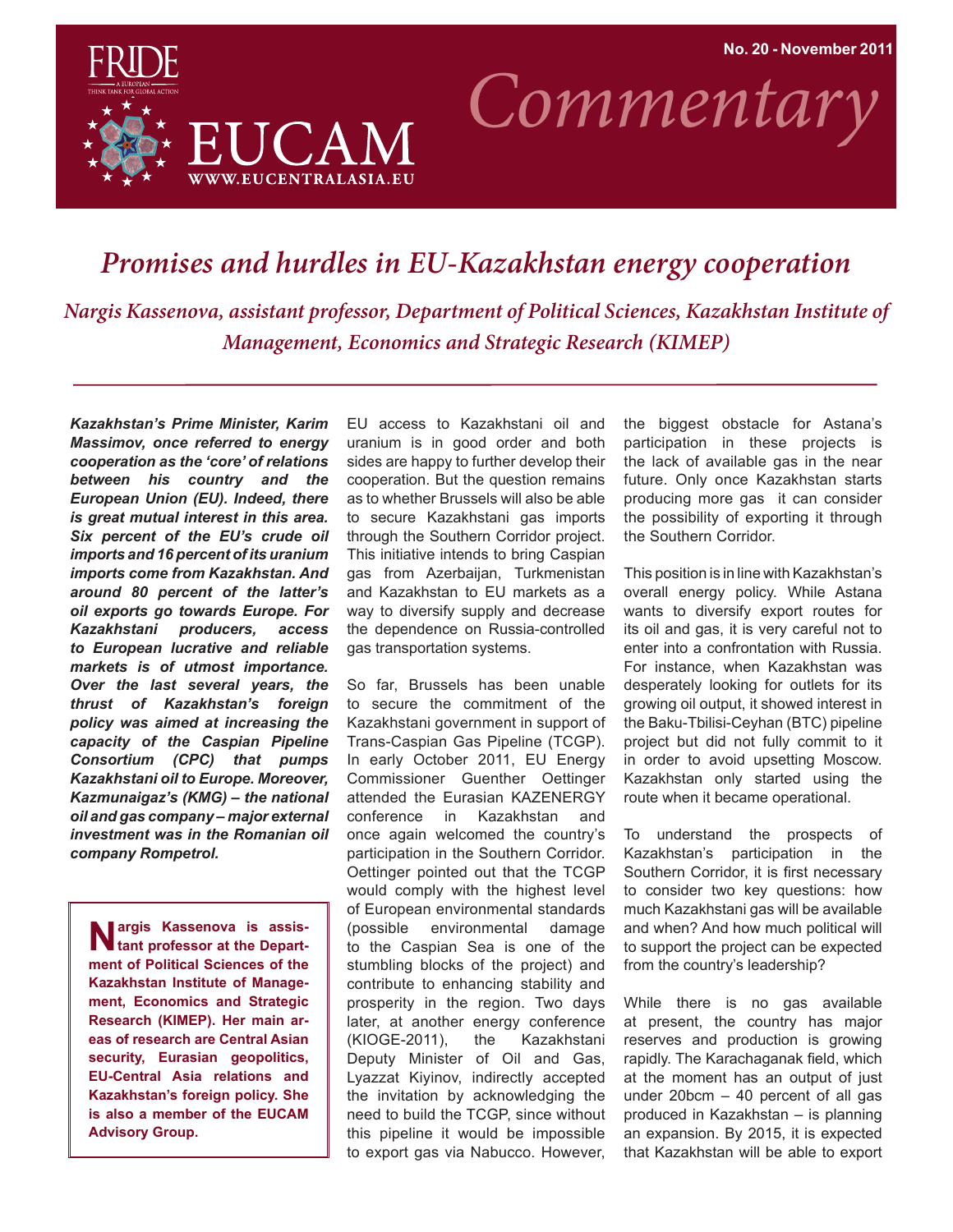

*Commentary*

## *Promises and hurdles in EU-Kazakhstan energy cooperation*

*Nargis Kassenova, assistant professor, Department of Political Sciences, Kazakhstan Institute of Management, Economics and Strategic Research (KIMEP)*

*Kazakhstan's Prime Minister, Karim Massimov, once referred to energy cooperation as the 'core' of relations between his country and the European Union (EU). Indeed, there is great mutual interest in this area. Six percent of the EU's crude oil imports and 16 percent of its uranium imports come from Kazakhstan. And around 80 percent of the latter's oil exports go towards Europe. For Kazakhstani producers, access to European lucrative and reliable markets is of utmost importance. Over the last several years, the thrust of Kazakhstan's foreign policy was aimed at increasing the capacity of the Caspian Pipeline Consortium (CPC) that pumps Kazakhstani oil to Europe. Moreover, Kazmunaigaz's (KMG) – the national oil and gas company – major external investment was in the Romanian oil company Rompetrol.* 

**Nargis Kassenova is assis-**<br> **tant professor at the Department of Political Sciences of the Kazakhstan Institute of Management, Economics and Strategic Research (KIMEP). Her main areas of research are Central Asian security, Eurasian geopolitics, EU-Central Asia relations and Kazakhstan's foreign policy. She is also a member of the EUCAM Advisory Group.**

EU access to Kazakhstani oil and uranium is in good order and both sides are happy to further develop their cooperation. But the question remains as to whether Brussels will also be able to secure Kazakhstani gas imports through the Southern Corridor project. This initiative intends to bring Caspian gas from Azerbaijan, Turkmenistan and Kazakhstan to EU markets as a way to diversify supply and decrease the dependence on Russia-controlled gas transportation systems.

So far, Brussels has been unable to secure the commitment of the Kazakhstani government in support of Trans-Caspian Gas Pipeline (TCGP). In early October 2011, EU Energy Commissioner Guenther Oettinger attended the Eurasian KAZENERGY conference in Kazakhstan and once again welcomed the country's participation in the Southern Corridor. Oettinger pointed out that the TCGP would comply with the highest level of European environmental standards (possible environmental damage to the Caspian Sea is one of the stumbling blocks of the project) and contribute to enhancing stability and prosperity in the region. Two days later, at another energy conference (KIOGE-2011), the Kazakhstani Deputy Minister of Oil and Gas, Lyazzat Kiyinov, indirectly accepted the invitation by acknowledging the need to build the TCGP, since without this pipeline it would be impossible to export gas via Nabucco. However,

the biggest obstacle for Astana's participation in these projects is the lack of available gas in the near future. Only once Kazakhstan starts producing more gas it can consider the possibility of exporting it through the Southern Corridor.

This position is in line with Kazakhstan's overall energy policy. While Astana wants to diversify export routes for its oil and gas, it is very careful not to enter into a confrontation with Russia. For instance, when Kazakhstan was desperately looking for outlets for its growing oil output, it showed interest in the Baku-Tbilisi-Ceyhan (BTC) pipeline project but did not fully commit to it in order to avoid upsetting Moscow. Kazakhstan only started using the route when it became operational.

To understand the prospects of Kazakhstan's participation in the Southern Corridor, it is first necessary to consider two key questions: how much Kazakhstani gas will be available and when? And how much political will to support the project can be expected from the country's leadership?

While there is no gas available at present, the country has major reserves and production is growing rapidly. The Karachaganak field, which at the moment has an output of just under 20bcm – 40 percent of all gas produced in Kazakhstan – is planning an expansion. By 2015, it is expected that Kazakhstan will be able to export